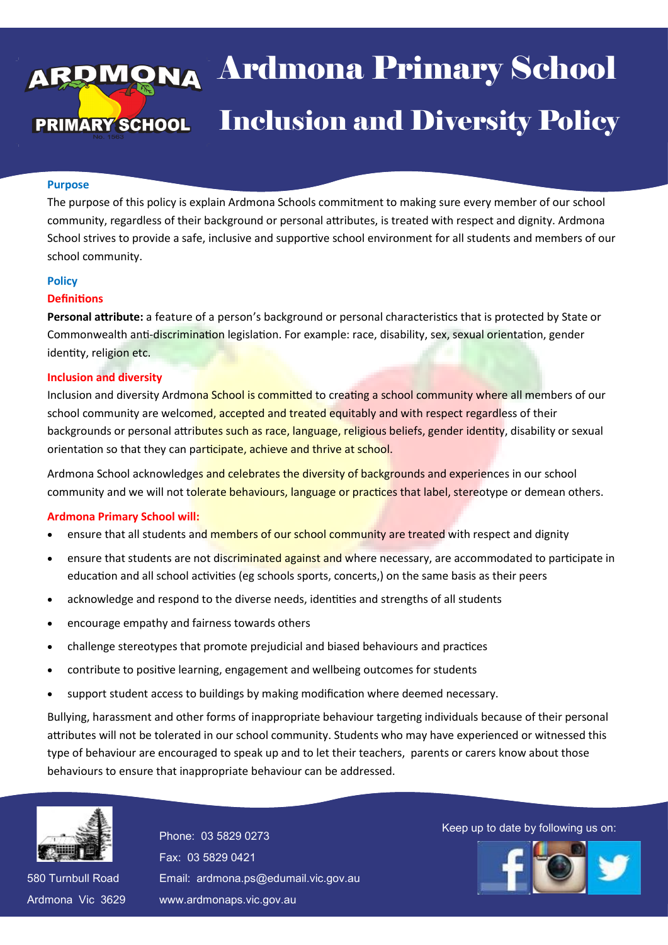# aa Ardmona Pri **DECOMBED Inclusion and Diversity Policy** 13 April 2016 Ardmona Primary School Inclusion and Diversity Policy

#### **Purpose**

The purpose of this policy is explain Ardmona Schools commitment to making sure every member of our school community, regardless of their background or personal attributes, is treated with respect and dignity. Ardmona School strives to provide a safe, inclusive and supportive school environment for all students and members of our school community.

#### **Policy**

#### **Definitions**

**Personal attribute:** a feature of a person's background or personal characteristics that is protected by State or Commonwealth anti-discrimination legislation. For example: race, disability, sex, sexual orientation, gender identity, religion etc.

#### **Inclusion and diversity**

Inclusion and diversity Ardmona School is committed to creating a school community where all members of our school community are welcomed, accepted and treated equitably and with respect regardless of their backgrounds or personal attributes such as race, language, religious beliefs, gender identity, disability or sexual orientation so that they can participate, achieve and thrive at school.

Ardmona School acknowledges and celebrates the diversity of backgrounds and experiences in our school community and we will not tolerate behaviours, language or practices that label, stereotype or demean others.

#### **Ardmona Primary School will:**

- ensure that all students and members of our school community are treated with respect and dignity
- ensure that students are not discriminated against and where necessary, are accommodated to participate in education and all school activities (eg schools sports, concerts,) on the same basis as their peers
- acknowledge and respond to the diverse needs, identities and strengths of all students
- encourage empathy and fairness towards others
- challenge stereotypes that promote prejudicial and biased behaviours and practices
- contribute to positive learning, engagement and wellbeing outcomes for students
- support student access to buildings by making modification where deemed necessary.

Bullying, harassment and other forms of inappropriate behaviour targeting individuals because of their personal attributes will not be tolerated in our school community. Students who may have experienced or witnessed this type of behaviour are encouraged to speak up and to let their teachers, parents or carers know about those behaviours to ensure that inappropriate behaviour can be addressed.



580 Turnbull Road 580 Turnbull Road Ardmona Vic 3629 Ardmona Vic 3629 Fax: 03 5829 0421 Fax: 03 5829 0421 Email: ardmona.ps@edumail.vic.gov.au Email: ardmona.ps@edumail.vic.gov.au www.ardmonaps.vic.gov.au www.ardmonaps.vic.gov.au

Thone: 03 5829 0273<br>Phone: 03 5829 0273